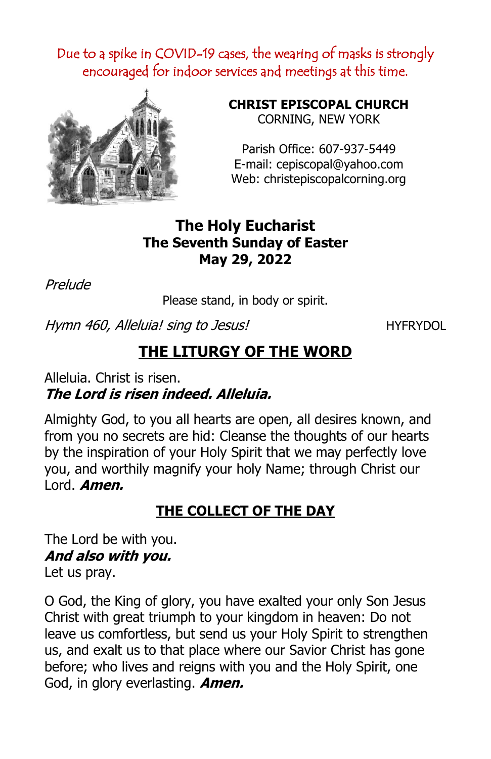Due to a spike in COVID-19 cases, the wearing of masks is strongly encouraged for indoor services and meetings at this time.



**CHRIST EPISCOPAL CHURCH** CORNING, NEW YORK

Parish Office: 607-937-5449 E-mail: cepiscopal@yahoo.com Web: christepiscopalcorning.org

## **The Holy Eucharist The Seventh Sunday of Easter May 29, 2022**

Prelude

Please stand, in body or spirit.

Hymn 460, Alleluia! sing to Jesus!

# **THE LITURGY OF THE WORD**

Alleluia. Christ is risen. **The Lord is risen indeed. Alleluia.**

Almighty God, to you all hearts are open, all desires known, and from you no secrets are hid: Cleanse the thoughts of our hearts by the inspiration of your Holy Spirit that we may perfectly love you, and worthily magnify your holy Name; through Christ our Lord. **Amen.**

## **THE COLLECT OF THE DAY**

The Lord be with you. **And also with you.** Let us pray.

O God, the King of glory, you have exalted your only Son Jesus Christ with great triumph to your kingdom in heaven: Do not leave us comfortless, but send us your Holy Spirit to strengthen us, and exalt us to that place where our Savior Christ has gone before; who lives and reigns with you and the Holy Spirit, one God, in glory everlasting. **Amen.**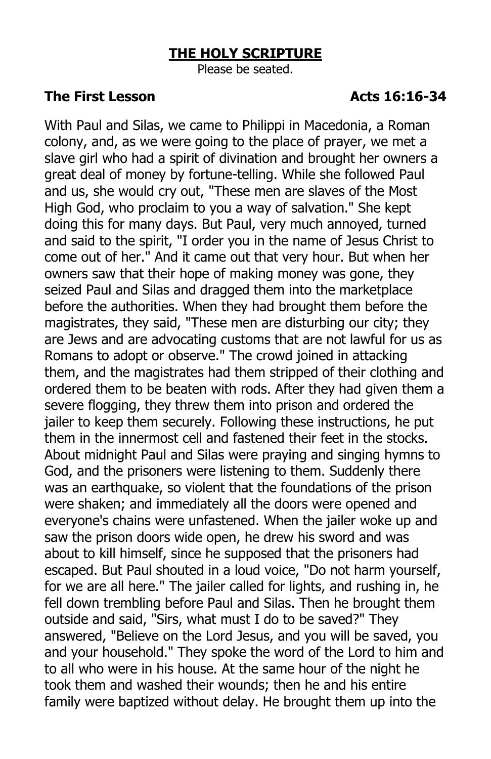#### **THE HOLY SCRIPTURE**

Please be seated.

#### **The First Lesson Acts 16:16-34**

With Paul and Silas, we came to Philippi in Macedonia, a Roman colony, and, as we were going to the place of prayer, we met a slave girl who had a spirit of divination and brought her owners a great deal of money by fortune-telling. While she followed Paul and us, she would cry out, "These men are slaves of the Most High God, who proclaim to you a way of salvation." She kept doing this for many days. But Paul, very much annoyed, turned and said to the spirit, "I order you in the name of Jesus Christ to come out of her." And it came out that very hour. But when her owners saw that their hope of making money was gone, they seized Paul and Silas and dragged them into the marketplace before the authorities. When they had brought them before the magistrates, they said, "These men are disturbing our city; they are Jews and are advocating customs that are not lawful for us as Romans to adopt or observe." The crowd joined in attacking them, and the magistrates had them stripped of their clothing and ordered them to be beaten with rods. After they had given them a severe flogging, they threw them into prison and ordered the jailer to keep them securely. Following these instructions, he put them in the innermost cell and fastened their feet in the stocks. About midnight Paul and Silas were praying and singing hymns to God, and the prisoners were listening to them. Suddenly there was an earthquake, so violent that the foundations of the prison were shaken; and immediately all the doors were opened and everyone's chains were unfastened. When the jailer woke up and saw the prison doors wide open, he drew his sword and was about to kill himself, since he supposed that the prisoners had escaped. But Paul shouted in a loud voice, "Do not harm yourself, for we are all here." The jailer called for lights, and rushing in, he fell down trembling before Paul and Silas. Then he brought them outside and said, "Sirs, what must I do to be saved?" They answered, "Believe on the Lord Jesus, and you will be saved, you and your household." They spoke the word of the Lord to him and to all who were in his house. At the same hour of the night he took them and washed their wounds; then he and his entire family were baptized without delay. He brought them up into the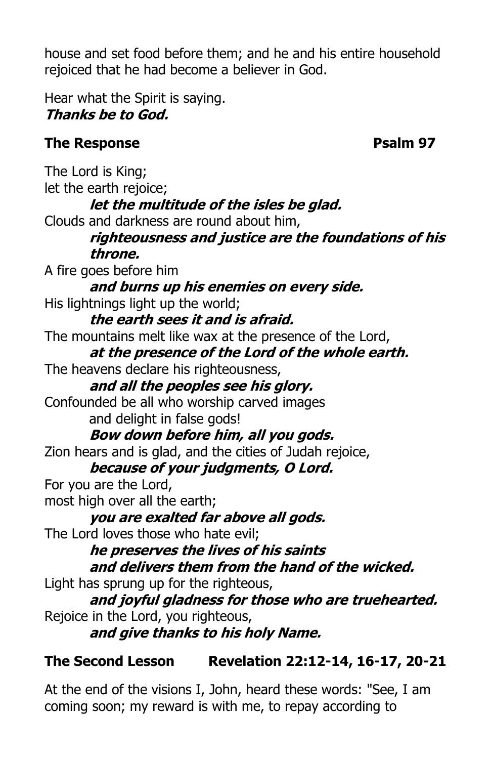house and set food before them; and he and his entire household rejoiced that he had become a believer in God.

Hear what the Spirit is saying. **Thanks be to God.**

## **The Response Psalm 97**

The Lord is King; let the earth rejoice; **let the multitude of the isles be glad.** Clouds and darkness are round about him, **righteousness and justice are the foundations of his throne.** A fire goes before him **and burns up his enemies on every side.** His lightnings light up the world; **the earth sees it and is afraid.** The mountains melt like wax at the presence of the Lord, **at the presence of the Lord of the whole earth.** The heavens declare his righteousness, **and all the peoples see his glory.** Confounded be all who worship carved images and delight in false gods! **Bow down before him, all you gods.** Zion hears and is glad, and the cities of Judah rejoice, **because of your judgments, O Lord.** For you are the Lord, most high over all the earth; **you are exalted far above all gods.** The Lord loves those who hate evil; **he preserves the lives of his saints and delivers them from the hand of the wicked.** Light has sprung up for the righteous, **and joyful gladness for those who are truehearted.** Rejoice in the Lord, you righteous, **and give thanks to his holy Name.**

## **The Second Lesson Revelation 22:12-14, 16-17, 20-21**

At the end of the visions I, John, heard these words: "See, I am coming soon; my reward is with me, to repay according to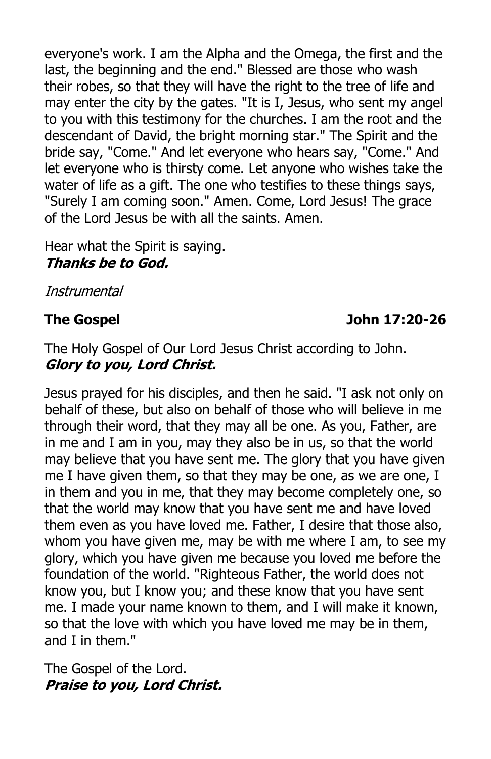everyone's work. I am the Alpha and the Omega, the first and the last, the beginning and the end." Blessed are those who wash their robes, so that they will have the right to the tree of life and may enter the city by the gates. "It is I, Jesus, who sent my angel to you with this testimony for the churches. I am the root and the descendant of David, the bright morning star." The Spirit and the bride say, "Come." And let everyone who hears say, "Come." And let everyone who is thirsty come. Let anyone who wishes take the water of life as a gift. The one who testifies to these things says, "Surely I am coming soon." Amen. Come, Lord Jesus! The grace of the Lord Jesus be with all the saints. Amen.

Hear what the Spirit is saying. **Thanks be to God.**

Instrumental

#### **The Gospel John 17:20-26**

The Holy Gospel of Our Lord Jesus Christ according to John. **Glory to you, Lord Christ.** 

Jesus prayed for his disciples, and then he said. "I ask not only on behalf of these, but also on behalf of those who will believe in me through their word, that they may all be one. As you, Father, are in me and I am in you, may they also be in us, so that the world may believe that you have sent me. The glory that you have given me I have given them, so that they may be one, as we are one, I in them and you in me, that they may become completely one, so that the world may know that you have sent me and have loved them even as you have loved me. Father, I desire that those also, whom you have given me, may be with me where I am, to see my glory, which you have given me because you loved me before the foundation of the world. "Righteous Father, the world does not know you, but I know you; and these know that you have sent me. I made your name known to them, and I will make it known, so that the love with which you have loved me may be in them, and I in them."

The Gospel of the Lord. **Praise to you, Lord Christ.**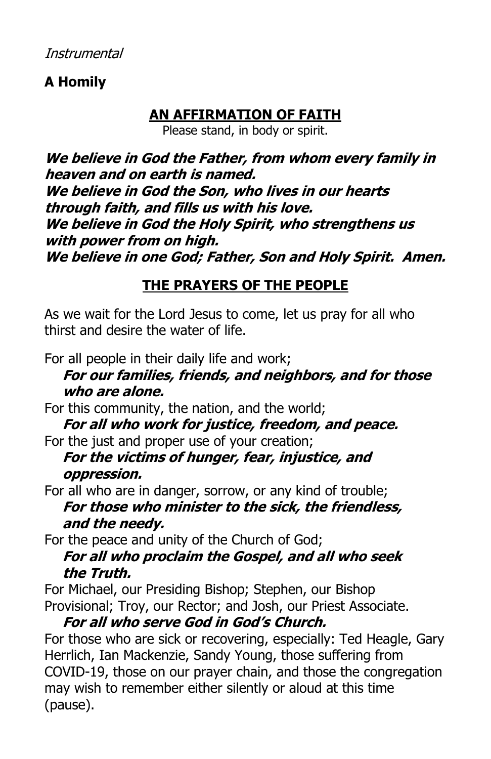## **A Homily**

## **AN AFFIRMATION OF FAITH**

Please stand, in body or spirit.

**We believe in God the Father, from whom every family in heaven and on earth is named. We believe in God the Son, who lives in our hearts through faith, and fills us with his love. We believe in God the Holy Spirit, who strengthens us with power from on high. We believe in one God; Father, Son and Holy Spirit. Amen.**

## **THE PRAYERS OF THE PEOPLE**

As we wait for the Lord Jesus to come, let us pray for all who thirst and desire the water of life.

For all people in their daily life and work;

## **For our families, friends, and neighbors, and for those who are alone.**

For this community, the nation, and the world;

**For all who work for justice, freedom, and peace.** For the just and proper use of your creation;

## **For the victims of hunger, fear, injustice, and oppression.**

For all who are in danger, sorrow, or any kind of trouble; **For those who minister to the sick, the friendless, and the needy.**

For the peace and unity of the Church of God; **For all who proclaim the Gospel, and all who seek the Truth.**

For Michael, our Presiding Bishop; Stephen, our Bishop Provisional; Troy, our Rector; and Josh, our Priest Associate.

### **For all who serve God in God's Church.**

For those who are sick or recovering, especially: Ted Heagle, Gary Herrlich, Ian Mackenzie, Sandy Young, those suffering from COVID-19, those on our prayer chain, and those the congregation may wish to remember either silently or aloud at this time (pause).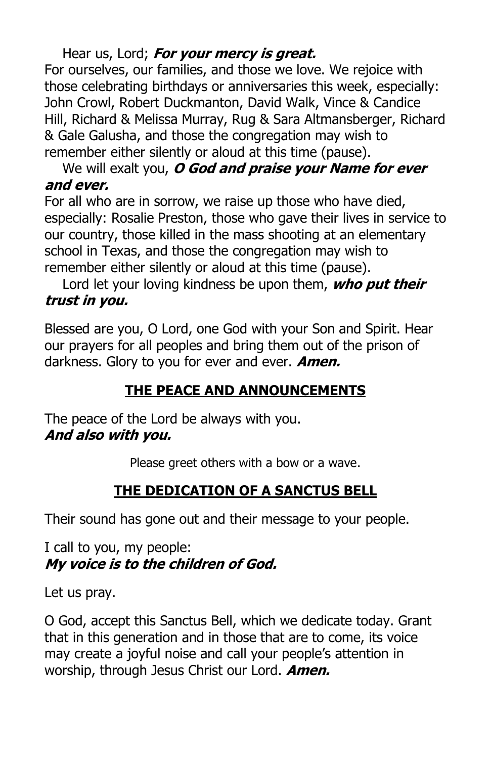## Hear us, Lord; **For your mercy is great.**

For ourselves, our families, and those we love. We rejoice with those celebrating birthdays or anniversaries this week, especially: John Crowl, Robert Duckmanton, David Walk, Vince & Candice Hill, Richard & Melissa Murray, Rug & Sara Altmansberger, Richard & Gale Galusha, and those the congregation may wish to remember either silently or aloud at this time (pause).

#### We will exalt you, **O God and praise your Name for ever and ever.**

For all who are in sorrow, we raise up those who have died, especially: Rosalie Preston, those who gave their lives in service to our country, those killed in the mass shooting at an elementary school in Texas, and those the congregation may wish to remember either silently or aloud at this time (pause).

Lord let your loving kindness be upon them, **who put their trust in you.**

Blessed are you, O Lord, one God with your Son and Spirit. Hear our prayers for all peoples and bring them out of the prison of darkness. Glory to you for ever and ever. **Amen.**

## **THE PEACE AND ANNOUNCEMENTS**

The peace of the Lord be always with you. **And also with you.**

Please greet others with a bow or a wave.

## **THE DEDICATION OF A SANCTUS BELL**

Their sound has gone out and their message to your people.

I call to you, my people: **My voice is to the children of God.** 

Let us pray.

O God, accept this Sanctus Bell, which we dedicate today. Grant that in this generation and in those that are to come, its voice may create a joyful noise and call your people's attention in worship, through Jesus Christ our Lord. **Amen.**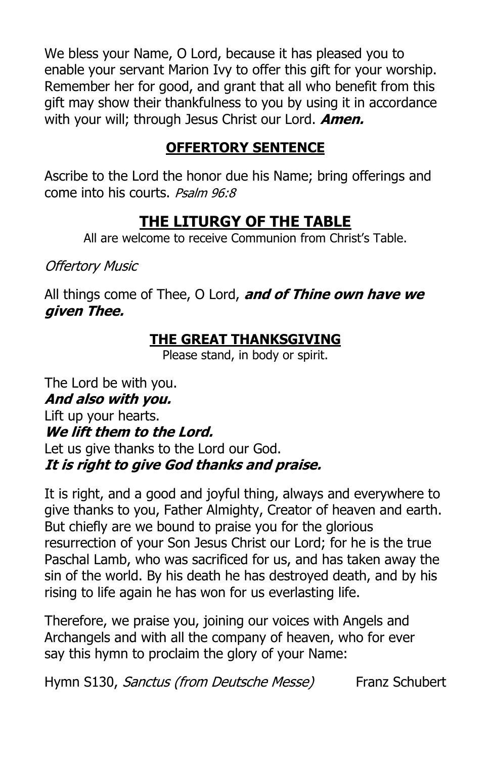We bless your Name, O Lord, because it has pleased you to enable your servant Marion Ivy to offer this gift for your worship. Remember her for good, and grant that all who benefit from this gift may show their thankfulness to you by using it in accordance with your will; through Jesus Christ our Lord. **Amen.**

## **OFFERTORY SENTENCE**

Ascribe to the Lord the honor due his Name; bring offerings and come into his courts. *Psalm 96:8* 

## **THE LITURGY OF THE TABLE**

All are welcome to receive Communion from Christ's Table.

**Offertory Music** 

All things come of Thee, O Lord, **and of Thine own have we given Thee.**

## **THE GREAT THANKSGIVING**

Please stand, in body or spirit.

The Lord be with you. **And also with you.** Lift up your hearts. **We lift them to the Lord.** Let us give thanks to the Lord our God. **It is right to give God thanks and praise.**

It is right, and a good and joyful thing, always and everywhere to give thanks to you, Father Almighty, Creator of heaven and earth. But chiefly are we bound to praise you for the glorious resurrection of your Son Jesus Christ our Lord; for he is the true Paschal Lamb, who was sacrificed for us, and has taken away the sin of the world. By his death he has destroyed death, and by his rising to life again he has won for us everlasting life.

Therefore, we praise you, joining our voices with Angels and Archangels and with all the company of heaven, who for ever say this hymn to proclaim the glory of your Name:

Hymn S130, Sanctus (from Deutsche Messe) Franz Schubert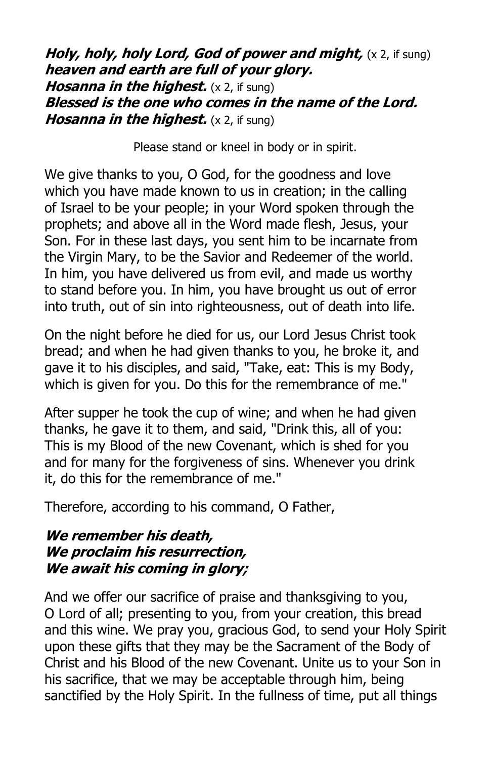*Holy, holy, holy Lord, God of power and might, (x 2, if sung)* **heaven and earth are full of your glory. Hosanna in the highest.** (x 2, if sung) **Blessed is the one who comes in the name of the Lord. Hosanna in the highest.** (x 2, if sung)

Please stand or kneel in body or in spirit.

We give thanks to you, O God, for the goodness and love which you have made known to us in creation; in the calling of Israel to be your people; in your Word spoken through the prophets; and above all in the Word made flesh, Jesus, your Son. For in these last days, you sent him to be incarnate from the Virgin Mary, to be the Savior and Redeemer of the world. In him, you have delivered us from evil, and made us worthy to stand before you. In him, you have brought us out of error into truth, out of sin into righteousness, out of death into life.

On the night before he died for us, our Lord Jesus Christ took bread; and when he had given thanks to you, he broke it, and gave it to his disciples, and said, "Take, eat: This is my Body, which is given for you. Do this for the remembrance of me."

After supper he took the cup of wine; and when he had given thanks, he gave it to them, and said, "Drink this, all of you: This is my Blood of the new Covenant, which is shed for you and for many for the forgiveness of sins. Whenever you drink it, do this for the remembrance of me."

Therefore, according to his command, O Father,

#### **We remember his death, We proclaim his resurrection, We await his coming in glory;**

And we offer our sacrifice of praise and thanksgiving to you, O Lord of all; presenting to you, from your creation, this bread and this wine. We pray you, gracious God, to send your Holy Spirit upon these gifts that they may be the Sacrament of the Body of Christ and his Blood of the new Covenant. Unite us to your Son in his sacrifice, that we may be acceptable through him, being sanctified by the Holy Spirit. In the fullness of time, put all things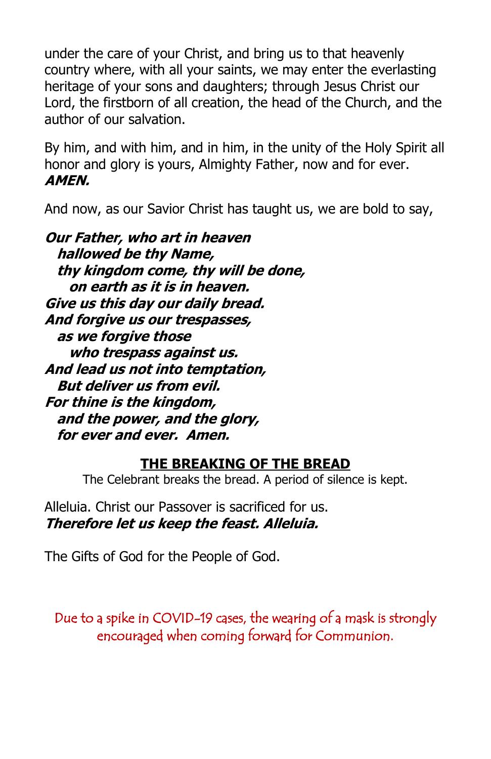under the care of your Christ, and bring us to that heavenly country where, with all your saints, we may enter the everlasting heritage of your sons and daughters; through Jesus Christ our Lord, the firstborn of all creation, the head of the Church, and the author of our salvation.

By him, and with him, and in him, in the unity of the Holy Spirit all honor and glory is yours, Almighty Father, now and for ever. **AMEN.**

And now, as our Savior Christ has taught us, we are bold to say,

**Our Father, who art in heaven hallowed be thy Name, thy kingdom come, thy will be done, on earth as it is in heaven. Give us this day our daily bread. And forgive us our trespasses, as we forgive those who trespass against us. And lead us not into temptation, But deliver us from evil. For thine is the kingdom, and the power, and the glory, for ever and ever. Amen.**

#### **THE BREAKING OF THE BREAD**

The Celebrant breaks the bread. A period of silence is kept.

Alleluia. Christ our Passover is sacrificed for us. **Therefore let us keep the feast. Alleluia.**

The Gifts of God for the People of God.

Due to a spike in COVID-19 cases, the wearing of a mask is strongly encouraged when coming forward for Communion.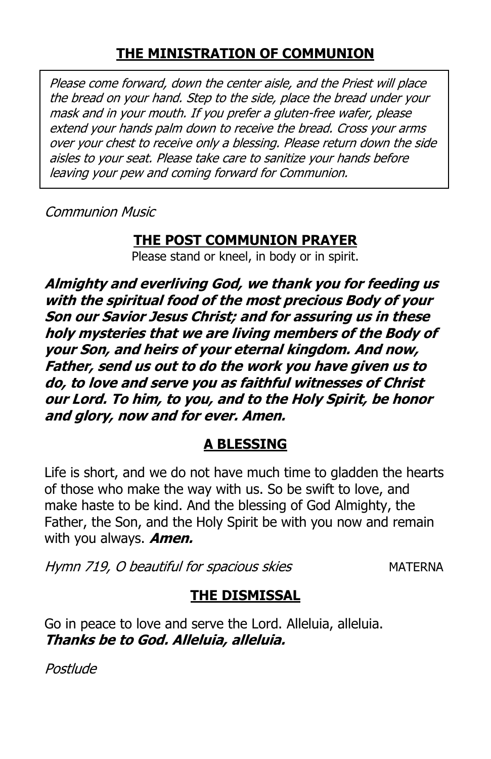## **THE MINISTRATION OF COMMUNION**

Please come forward, down the center aisle, and the Priest will place the bread on your hand. Step to the side, place the bread under your mask and in your mouth. If you prefer a gluten-free wafer, please extend your hands palm down to receive the bread. Cross your arms over your chest to receive only a blessing. Please return down the side aisles to your seat. Please take care to sanitize your hands before leaving your pew and coming forward for Communion.

Communion Music

## **THE POST COMMUNION PRAYER**

Please stand or kneel, in body or in spirit.

**Almighty and everliving God, we thank you for feeding us with the spiritual food of the most precious Body of your Son our Savior Jesus Christ; and for assuring us in these holy mysteries that we are living members of the Body of your Son, and heirs of your eternal kingdom. And now, Father, send us out to do the work you have given us to do, to love and serve you as faithful witnesses of Christ our Lord. To him, to you, and to the Holy Spirit, be honor and glory, now and for ever. Amen.**

## **A BLESSING**

Life is short, and we do not have much time to gladden the hearts of those who make the way with us. So be swift to love, and make haste to be kind. And the blessing of God Almighty, the Father, the Son, and the Holy Spirit be with you now and remain with you always. **Amen.**

Hymn 719, O beautiful for spacious skies MATERNA

## **THE DISMISSAL**

Go in peace to love and serve the Lord. Alleluia, alleluia. **Thanks be to God. Alleluia, alleluia.**

Postlude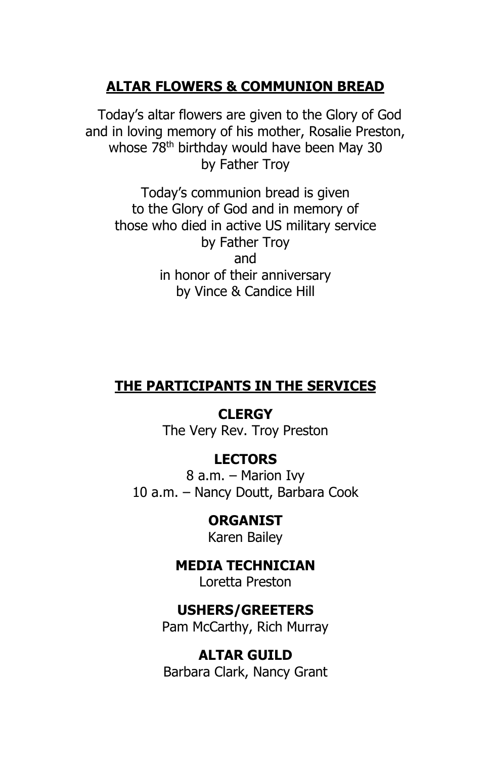### **ALTAR FLOWERS & COMMUNION BREAD**

 Today's altar flowers are given to the Glory of God and in loving memory of his mother, Rosalie Preston, whose 78<sup>th</sup> birthday would have been May 30 by Father Troy

Today's communion bread is given to the Glory of God and in memory of those who died in active US military service by Father Troy and in honor of their anniversary by Vince & Candice Hill

#### **THE PARTICIPANTS IN THE SERVICES**

**CLERGY** The Very Rev. Troy Preston

#### **LECTORS**

8 a.m. – Marion Ivy 10 a.m. – Nancy Doutt, Barbara Cook

> **ORGANIST** Karen Bailey

**MEDIA TECHNICIAN** Loretta Preston

### **USHERS/GREETERS**

Pam McCarthy, Rich Murray

**ALTAR GUILD** Barbara Clark, Nancy Grant